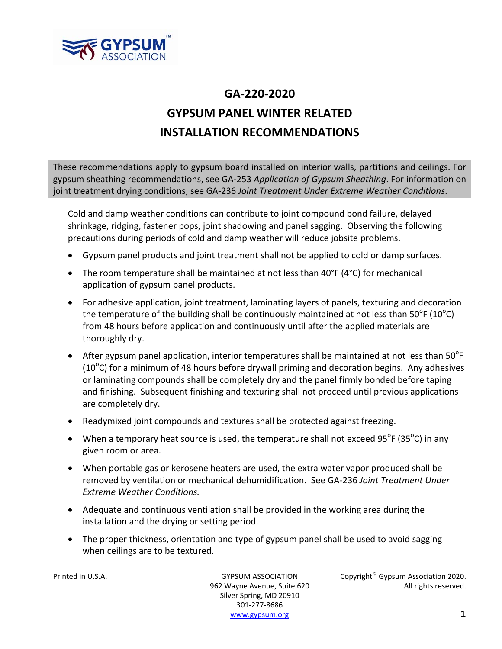

## **GA‐220‐2020 GYPSUM PANEL WINTER RELATED INSTALLATION RECOMMENDATIONS**

These recommendations apply to gypsum board installed on interior walls, partitions and ceilings. For gypsum sheathing recommendations, see GA‐253 *Application of Gypsum Sheathing*. For information on joint treatment drying conditions, see GA‐236 *Joint Treatment Under Extreme Weather Conditions*.

Cold and damp weather conditions can contribute to joint compound bond failure, delayed shrinkage, ridging, fastener pops, joint shadowing and panel sagging. Observing the following precautions during periods of cold and damp weather will reduce jobsite problems.

- Gypsum panel products and joint treatment shall not be applied to cold or damp surfaces.
- The room temperature shall be maintained at not less than 40°F (4°C) for mechanical application of gypsum panel products.
- For adhesive application, joint treatment, laminating layers of panels, texturing and decoration the temperature of the building shall be continuously maintained at not less than 50<sup>o</sup>F (10<sup>o</sup>C) from 48 hours before application and continuously until after the applied materials are thoroughly dry.
- After gypsum panel application, interior temperatures shall be maintained at not less than  $50^{\circ}$ F ( $10^{\circ}$ C) for a minimum of 48 hours before drywall priming and decoration begins. Any adhesives or laminating compounds shall be completely dry and the panel firmly bonded before taping and finishing. Subsequent finishing and texturing shall not proceed until previous applications are completely dry.
- Readymixed joint compounds and textures shall be protected against freezing.
- When a temporary heat source is used, the temperature shall not exceed  $95^{\circ}$ F (35 $^{\circ}$ C) in any given room or area.
- When portable gas or kerosene heaters are used, the extra water vapor produced shall be removed by ventilation or mechanical dehumidification. See GA‐236 *Joint Treatment Under Extreme Weather Conditions.*
- Adequate and continuous ventilation shall be provided in the working area during the installation and the drying or setting period.
- The proper thickness, orientation and type of gypsum panel shall be used to avoid sagging when ceilings are to be textured.